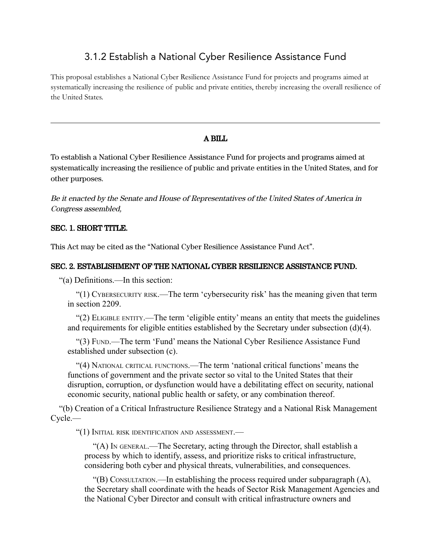# 3.1.2 Establish a National Cyber Resilience Assistance Fund

This proposal establishes a National Cyber Resilience Assistance Fund for projects and programs aimed at systematically increasing the resilience of public and private entities, thereby increasing the overall resilience of the United States.

## A BILL

To establish a National Cyber Resilience Assistance Fund for projects and programs aimed at systematically increasing the resilience of public and private entities in the United States, and for other purposes.

Be it enacted by the Senate and House of Representatives of the United States of America in Congress assembled,

### SEC. 1. SHORT TITLE.

This Act may be cited as the "National Cyber Resilience Assistance Fund Act".

## SEC. 2. ESTABLISHMENT OF THE NATIONAL CYBER RESILIENCE ASSISTANCE FUND.

"(a) Definitions.—In this section:

"(1) CYBERSECURITY RISK.—The term 'cybersecurity risk' has the meaning given that term in section 2209.

"(2) ELIGIBLE ENTITY.—The term 'eligible entity' means an entity that meets the guidelines and requirements for eligible entities established by the Secretary under subsection (d)(4).

"(3) FUND.—The term 'Fund' means the National Cyber Resilience Assistance Fund established under subsection (c).

"(4) NATIONAL CRITICAL FUNCTIONS.—The term 'national critical functions' means the functions of government and the private sector so vital to the United States that their disruption, corruption, or dysfunction would have a debilitating effect on security, national economic security, national public health or safety, or any combination thereof.

"(b) Creation of a Critical Infrastructure Resilience Strategy and a National Risk Management Cycle.—

"(1) INITIAL RISK IDENTIFICATION AND ASSESSMENT.—

"(A) I<sup>N</sup> GENERAL.—The Secretary, acting through the Director, shall establish a process by which to identify, assess, and prioritize risks to critical infrastructure, considering both cyber and physical threats, vulnerabilities, and consequences.

"(B) CONSULTATION.—In establishing the process required under subparagraph (A), the Secretary shall coordinate with the heads of Sector Risk Management Agencies and the National Cyber Director and consult with critical infrastructure owners and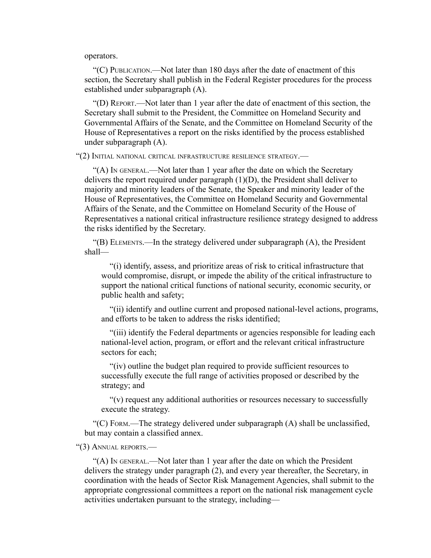operators.

"(C) PUBLICATION.—Not later than 180 days after the date of enactment of this section, the Secretary shall publish in the Federal Register procedures for the process established under subparagraph (A).

"(D) REPORT.—Not later than 1 year after the date of enactment of this section, the Secretary shall submit to the President, the Committee on Homeland Security and Governmental Affairs of the Senate, and the Committee on Homeland Security of the House of Representatives a report on the risks identified by the process established under subparagraph (A).

"(2) INITIAL NATIONAL CRITICAL INFRASTRUCTURE RESILIENCE STRATEGY.—

"(A) IN GENERAL.—Not later than 1 year after the date on which the Secretary delivers the report required under paragraph (1)(D), the President shall deliver to majority and minority leaders of the Senate, the Speaker and minority leader of the House of Representatives, the Committee on Homeland Security and Governmental Affairs of the Senate, and the Committee on Homeland Security of the House of Representatives a national critical infrastructure resilience strategy designed to address the risks identified by the Secretary.

"(B) ELEMENTS.—In the strategy delivered under subparagraph (A), the President shall—

"(i) identify, assess, and prioritize areas of risk to critical infrastructure that would compromise, disrupt, or impede the ability of the critical infrastructure to support the national critical functions of national security, economic security, or public health and safety;

"(ii) identify and outline current and proposed national-level actions, programs, and efforts to be taken to address the risks identified;

"(iii) identify the Federal departments or agencies responsible for leading each national-level action, program, or effort and the relevant critical infrastructure sectors for each;

"(iv) outline the budget plan required to provide sufficient resources to successfully execute the full range of activities proposed or described by the strategy; and

"(v) request any additional authorities or resources necessary to successfully execute the strategy.

"(C) FORM.—The strategy delivered under subparagraph  $(A)$  shall be unclassified, but may contain a classified annex.

"(3) ANNUAL REPORTS.—

"(A) I<sup>N</sup> GENERAL.—Not later than 1 year after the date on which the President delivers the strategy under paragraph (2), and every year thereafter, the Secretary, in coordination with the heads of Sector Risk Management Agencies, shall submit to the appropriate congressional committees a report on the national risk management cycle activities undertaken pursuant to the strategy, including—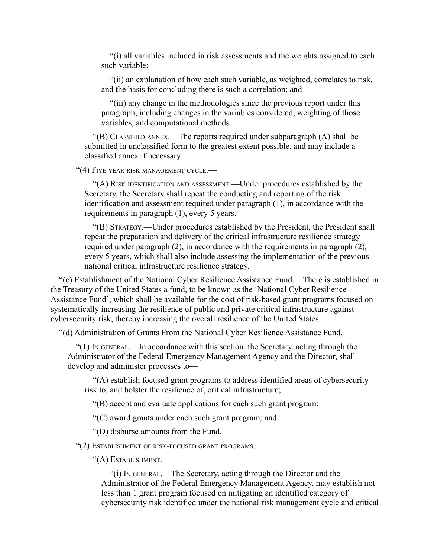"(i) all variables included in risk assessments and the weights assigned to each such variable;

"(ii) an explanation of how each such variable, as weighted, correlates to risk, and the basis for concluding there is such a correlation; and

"(iii) any change in the methodologies since the previous report under this paragraph, including changes in the variables considered, weighting of those variables, and computational methods.

"(B) CLASSIFIED ANNEX.—The reports required under subparagraph (A) shall be submitted in unclassified form to the greatest extent possible, and may include a classified annex if necessary.

"(4) FIVE YEAR RISK MANAGEMENT CYCLE.—

"(A) RISK IDENTIFICATION AND ASSESSMENT.—Under procedures established by the Secretary, the Secretary shall repeat the conducting and reporting of the risk identification and assessment required under paragraph (1), in accordance with the requirements in paragraph (1), every 5 years.

"(B) STRATEGY.—Under procedures established by the President, the President shall repeat the preparation and delivery of the critical infrastructure resilience strategy required under paragraph (2), in accordance with the requirements in paragraph (2), every 5 years, which shall also include assessing the implementation of the previous national critical infrastructure resilience strategy.

"(c) Establishment of the National Cyber Resilience Assistance Fund.—There is established in the Treasury of the United States a fund, to be known as the 'National Cyber Resilience Assistance Fund', which shall be available for the cost of risk-based grant programs focused on systematically increasing the resilience of public and private critical infrastructure against cybersecurity risk, thereby increasing the overall resilience of the United States.

"(d) Administration of Grants From the National Cyber Resilience Assistance Fund.—

"(1) IN GENERAL.—In accordance with this section, the Secretary, acting through the Administrator of the Federal Emergency Management Agency and the Director, shall develop and administer processes to—

"(A) establish focused grant programs to address identified areas of cybersecurity risk to, and bolster the resilience of, critical infrastructure;

"(B) accept and evaluate applications for each such grant program;

"(C) award grants under each such grant program; and

"(D) disburse amounts from the Fund.

"(2) ESTABLISHMENT OF RISK-FOCUSED GRANT PROGRAMS.—

"(A) ESTABLISHMENT.—

"(i) IN GENERAL.—The Secretary, acting through the Director and the Administrator of the Federal Emergency Management Agency, may establish not less than 1 grant program focused on mitigating an identified category of cybersecurity risk identified under the national risk management cycle and critical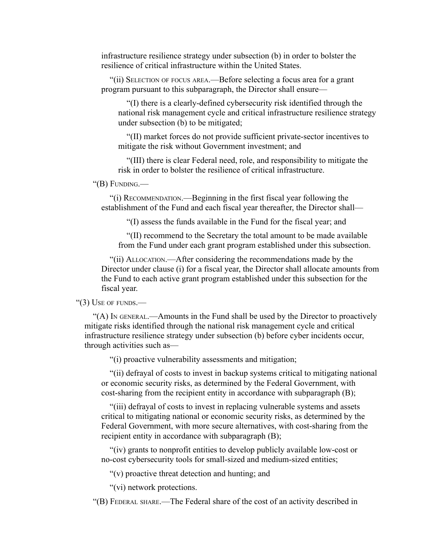infrastructure resilience strategy under subsection (b) in order to bolster the resilience of critical infrastructure within the United States.

"(ii) SELECTION OF FOCUS AREA.—Before selecting a focus area for a grant program pursuant to this subparagraph, the Director shall ensure—

"(I) there is a clearly-defined cybersecurity risk identified through the national risk management cycle and critical infrastructure resilience strategy under subsection (b) to be mitigated;

"(II) market forces do not provide sufficient private-sector incentives to mitigate the risk without Government investment; and

"(III) there is clear Federal need, role, and responsibility to mitigate the risk in order to bolster the resilience of critical infrastructure.

#### "(B) FUNDING.—

"(i) RECOMMENDATION.—Beginning in the first fiscal year following the establishment of the Fund and each fiscal year thereafter, the Director shall—

"(I) assess the funds available in the Fund for the fiscal year; and

"(II) recommend to the Secretary the total amount to be made available from the Fund under each grant program established under this subsection.

"(ii) ALLOCATION.—After considering the recommendations made by the Director under clause (i) for a fiscal year, the Director shall allocate amounts from the Fund to each active grant program established under this subsection for the fiscal year.

#### "(3) USE OF FUNDS.—

"(A) IN GENERAL.—Amounts in the Fund shall be used by the Director to proactively mitigate risks identified through the national risk management cycle and critical infrastructure resilience strategy under subsection (b) before cyber incidents occur, through activities such as—

"(i) proactive vulnerability assessments and mitigation;

"(ii) defrayal of costs to invest in backup systems critical to mitigating national or economic security risks, as determined by the Federal Government, with cost-sharing from the recipient entity in accordance with subparagraph (B);

"(iii) defrayal of costs to invest in replacing vulnerable systems and assets critical to mitigating national or economic security risks, as determined by the Federal Government, with more secure alternatives, with cost-sharing from the recipient entity in accordance with subparagraph (B);

"(iv) grants to nonprofit entities to develop publicly available low-cost or no-cost cybersecurity tools for small-sized and medium-sized entities;

"(v) proactive threat detection and hunting; and

"(vi) network protections.

"(B) FEDERAL SHARE.—The Federal share of the cost of an activity described in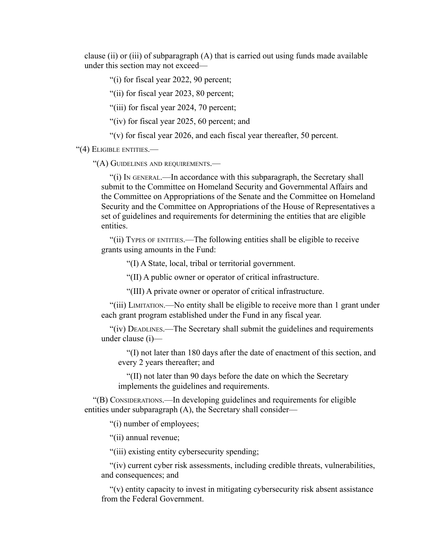clause (ii) or (iii) of subparagraph  $(A)$  that is carried out using funds made available under this section may not exceed—

"(i) for fiscal year 2022, 90 percent;

"(ii) for fiscal year 2023, 80 percent;

"(iii) for fiscal year 2024, 70 percent;

"(iv) for fiscal year 2025, 60 percent; and

"(v) for fiscal year 2026, and each fiscal year thereafter, 50 percent.

"(4) ELIGIBLE ENTITIES.—

"(A) GUIDELINES AND REQUIREMENTS.—

"(i) IN GENERAL.—In accordance with this subparagraph, the Secretary shall submit to the Committee on Homeland Security and Governmental Affairs and the Committee on Appropriations of the Senate and the Committee on Homeland Security and the Committee on Appropriations of the House of Representatives a set of guidelines and requirements for determining the entities that are eligible entities.

"(ii) TYPES OF ENTITIES.—The following entities shall be eligible to receive grants using amounts in the Fund:

"(I) A State, local, tribal or territorial government.

"(II) A public owner or operator of critical infrastructure.

"(III) A private owner or operator of critical infrastructure.

"(iii) LIMITATION.—No entity shall be eligible to receive more than 1 grant under each grant program established under the Fund in any fiscal year.

"(iv) DEADLINES.—The Secretary shall submit the guidelines and requirements under clause (i)—

"(I) not later than 180 days after the date of enactment of this section, and every 2 years thereafter; and

"(II) not later than 90 days before the date on which the Secretary implements the guidelines and requirements.

"(B) CONSIDERATIONS.—In developing guidelines and requirements for eligible entities under subparagraph (A), the Secretary shall consider—

"(i) number of employees;

"(ii) annual revenue;

"(iii) existing entity cybersecurity spending;

"(iv) current cyber risk assessments, including credible threats, vulnerabilities, and consequences; and

"(v) entity capacity to invest in mitigating cybersecurity risk absent assistance from the Federal Government.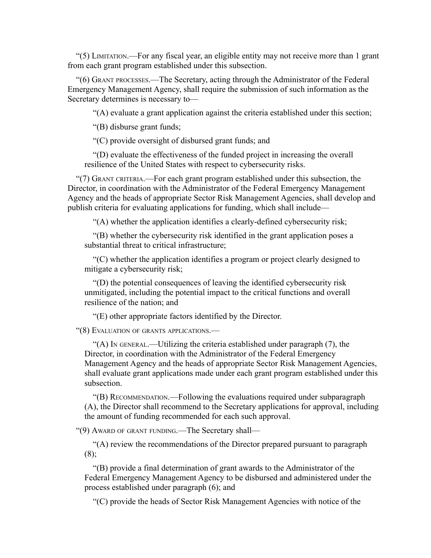"(5) LIMITATION.—For any fiscal year, an eligible entity may not receive more than 1 grant from each grant program established under this subsection.

"(6) GRANT PROCESSES.—The Secretary, acting through the Administrator of the Federal Emergency Management Agency, shall require the submission of such information as the Secretary determines is necessary to—

"(A) evaluate a grant application against the criteria established under this section;

"(B) disburse grant funds;

"(C) provide oversight of disbursed grant funds; and

"(D) evaluate the effectiveness of the funded project in increasing the overall resilience of the United States with respect to cybersecurity risks.

"(7) GRANT CRITERIA.—For each grant program established under this subsection, the Director, in coordination with the Administrator of the Federal Emergency Management Agency and the heads of appropriate Sector Risk Management Agencies, shall develop and publish criteria for evaluating applications for funding, which shall include—

"(A) whether the application identifies a clearly-defined cybersecurity risk;

"(B) whether the cybersecurity risk identified in the grant application poses a substantial threat to critical infrastructure;

"(C) whether the application identifies a program or project clearly designed to mitigate a cybersecurity risk;

"(D) the potential consequences of leaving the identified cybersecurity risk unmitigated, including the potential impact to the critical functions and overall resilience of the nation; and

"(E) other appropriate factors identified by the Director.

"(8) EVALUATION OF GRANTS APPLICATIONS.—

"(A) IN GENERAL.—Utilizing the criteria established under paragraph (7), the Director, in coordination with the Administrator of the Federal Emergency Management Agency and the heads of appropriate Sector Risk Management Agencies, shall evaluate grant applications made under each grant program established under this subsection.

"(B) RECOMMENDATION.—Following the evaluations required under subparagraph (A), the Director shall recommend to the Secretary applications for approval, including the amount of funding recommended for each such approval.

"(9) AWARD OF GRANT FUNDING.—The Secretary shall—

"(A) review the recommendations of the Director prepared pursuant to paragraph (8);

"(B) provide a final determination of grant awards to the Administrator of the Federal Emergency Management Agency to be disbursed and administered under the process established under paragraph (6); and

"(C) provide the heads of Sector Risk Management Agencies with notice of the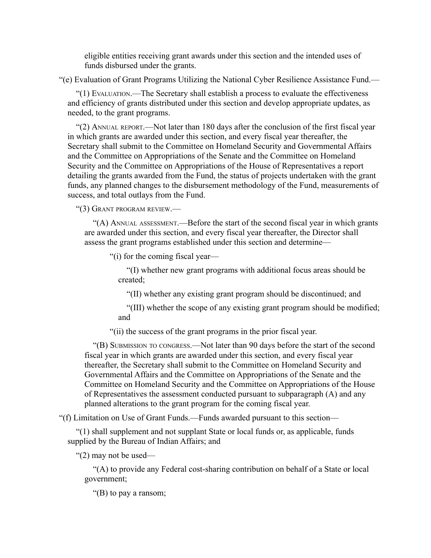eligible entities receiving grant awards under this section and the intended uses of funds disbursed under the grants.

"(e) Evaluation of Grant Programs Utilizing the National Cyber Resilience Assistance Fund.—

"(1) EVALUATION.—The Secretary shall establish a process to evaluate the effectiveness and efficiency of grants distributed under this section and develop appropriate updates, as needed, to the grant programs.

"(2) ANNUAL REPORT.—Not later than 180 days after the conclusion of the first fiscal year in which grants are awarded under this section, and every fiscal year thereafter, the Secretary shall submit to the Committee on Homeland Security and Governmental Affairs and the Committee on Appropriations of the Senate and the Committee on Homeland Security and the Committee on Appropriations of the House of Representatives a report detailing the grants awarded from the Fund, the status of projects undertaken with the grant funds, any planned changes to the disbursement methodology of the Fund, measurements of success, and total outlays from the Fund.

"(3) GRANT PROGRAM REVIEW.—

"(A) ANNUAL ASSESSMENT.—Before the start of the second fiscal year in which grants are awarded under this section, and every fiscal year thereafter, the Director shall assess the grant programs established under this section and determine—

"(i) for the coming fiscal year—

"(I) whether new grant programs with additional focus areas should be created;

"(II) whether any existing grant program should be discontinued; and

"(III) whether the scope of any existing grant program should be modified; and

"(ii) the success of the grant programs in the prior fiscal year.

"(B) SUBMISSION TO CONGRESS.—Not later than 90 days before the start of the second fiscal year in which grants are awarded under this section, and every fiscal year thereafter, the Secretary shall submit to the Committee on Homeland Security and Governmental Affairs and the Committee on Appropriations of the Senate and the Committee on Homeland Security and the Committee on Appropriations of the House of Representatives the assessment conducted pursuant to subparagraph (A) and any planned alterations to the grant program for the coming fiscal year.

"(f) Limitation on Use of Grant Funds.—Funds awarded pursuant to this section—

"(1) shall supplement and not supplant State or local funds or, as applicable, funds supplied by the Bureau of Indian Affairs; and

"(2) may not be used—

"(A) to provide any Federal cost-sharing contribution on behalf of a State or local government;

"(B) to pay a ransom;